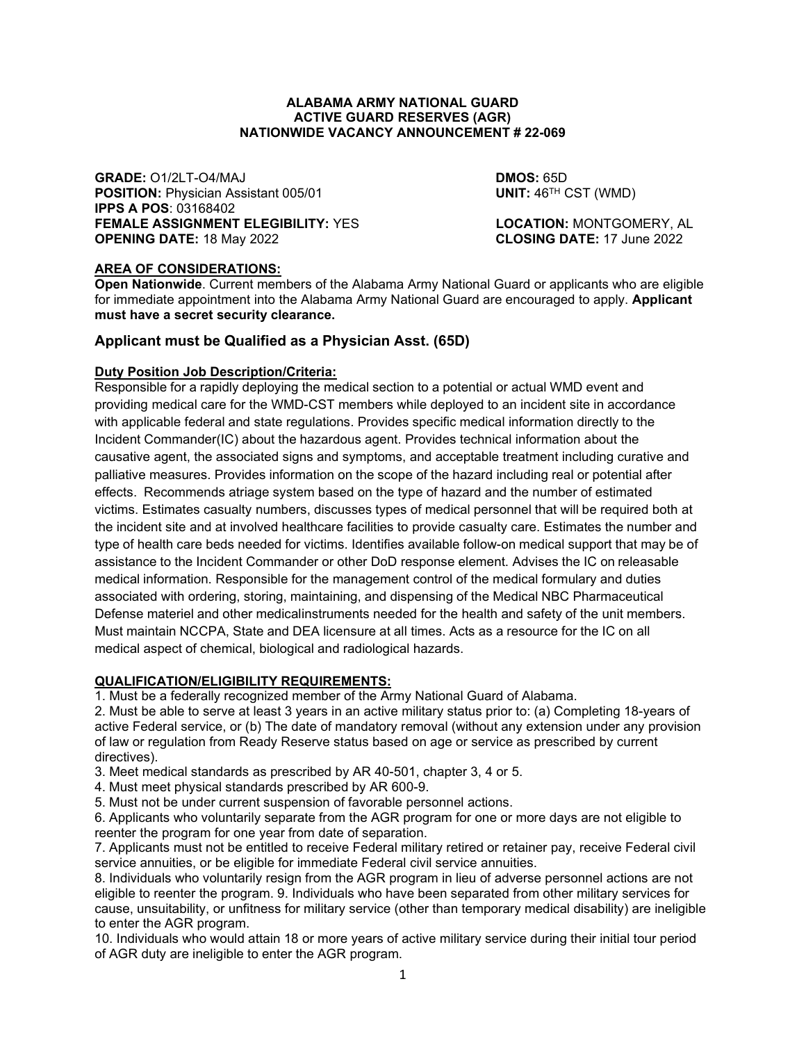#### **ALABAMA ARMY NATIONAL GUARD ACTIVE GUARD RESERVES (AGR) NATIONWIDE VACANCY ANNOUNCEMENT # 22-069**

**GRADE:** O1/2LT-O4/MAJ **DROS:** 65D<br> **POSITION:** Physician Assistant 005/01 **DISCENSITY DISCENSITION:** POSITION: Physician Assistant 005/01 **POSITION: Physician Assistant 005/01 IPPS A POS**: 03168402 **FEMALE ASSIGNMENT ELEGIBILITY:** YES **LOCATION:** MONTGOMERY, AL<br>**OPENING DATE:** 18 May 2022 **CLOSING DATE:** 17 June 2022 **OPENING DATE: 18 May 2022** 

## **AREA OF CONSIDERATIONS:**

**Open Nationwide**. Current members of the Alabama Army National Guard or applicants who are eligible for immediate appointment into the Alabama Army National Guard are encouraged to apply. **Applicant must have a secret security clearance.**

## **Applicant must be Qualified as a Physician Asst. (65D)**

#### **Duty Position Job Description/Criteria:**

Responsible for a rapidly deploying the medical section to a potential or actual WMD event and providing medical care for the WMD-CST members while deployed to an incident site in accordance with applicable federal and state regulations. Provides specific medical information directly to the Incident Commander(IC) about the hazardous agent. Provides technical information about the causative agent, the associated signs and symptoms, and acceptable treatment including curative and palliative measures. Provides information on the scope of the hazard including real or potential after effects. Recommends atriage system based on the type of hazard and the number of estimated victims. Estimates casualty numbers, discusses types of medical personnel that will be required both at the incident site and at involved healthcare facilities to provide casualty care. Estimates the number and type of health care beds needed for victims. Identifies available follow-on medical support that may be of assistance to the Incident Commander or other DoD response element. Advises the IC on releasable medical information. Responsible for the management control of the medical formulary and duties associated with ordering, storing, maintaining, and dispensing of the Medical NBC Pharmaceutical Defense materiel and other medicalinstruments needed for the health and safety of the unit members. Must maintain NCCPA, State and DEA licensure at all times. Acts as a resource for the IC on all medical aspect of chemical, biological and radiological hazards.

#### **QUALIFICATION/ELIGIBILITY REQUIREMENTS:**

1. Must be a federally recognized member of the Army National Guard of Alabama.

2. Must be able to serve at least 3 years in an active military status prior to: (a) Completing 18-years of active Federal service, or (b) The date of mandatory removal (without any extension under any provision of law or regulation from Ready Reserve status based on age or service as prescribed by current directives).

3. Meet medical standards as prescribed by AR 40-501, chapter 3, 4 or 5.

- 4. Must meet physical standards prescribed by AR 600-9.
- 5. Must not be under current suspension of favorable personnel actions.

6. Applicants who voluntarily separate from the AGR program for one or more days are not eligible to reenter the program for one year from date of separation.

7. Applicants must not be entitled to receive Federal military retired or retainer pay, receive Federal civil service annuities, or be eligible for immediate Federal civil service annuities.

8. Individuals who voluntarily resign from the AGR program in lieu of adverse personnel actions are not eligible to reenter the program. 9. Individuals who have been separated from other military services for cause, unsuitability, or unfitness for military service (other than temporary medical disability) are ineligible to enter the AGR program.

10. Individuals who would attain 18 or more years of active military service during their initial tour period of AGR duty are ineligible to enter the AGR program.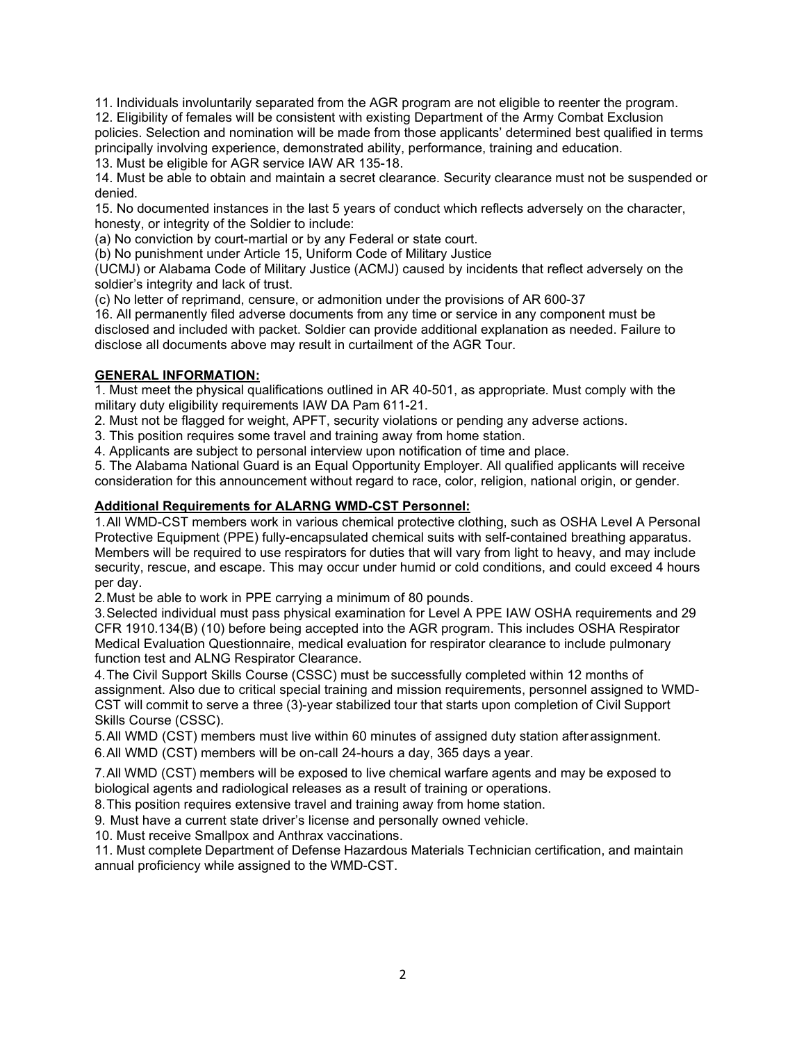11. Individuals involuntarily separated from the AGR program are not eligible to reenter the program.

12. Eligibility of females will be consistent with existing Department of the Army Combat Exclusion policies. Selection and nomination will be made from those applicants' determined best qualified in terms principally involving experience, demonstrated ability, performance, training and education.

13. Must be eligible for AGR service IAW AR 135-18.

14. Must be able to obtain and maintain a secret clearance. Security clearance must not be suspended or denied.

15. No documented instances in the last 5 years of conduct which reflects adversely on the character, honesty, or integrity of the Soldier to include:

(a) No conviction by court-martial or by any Federal or state court.

(b) No punishment under Article 15, Uniform Code of Military Justice

(UCMJ) or Alabama Code of Military Justice (ACMJ) caused by incidents that reflect adversely on the soldier's integrity and lack of trust.

(c) No letter of reprimand, censure, or admonition under the provisions of AR 600-37

16. All permanently filed adverse documents from any time or service in any component must be disclosed and included with packet. Soldier can provide additional explanation as needed. Failure to disclose all documents above may result in curtailment of the AGR Tour.

# **GENERAL INFORMATION:**

1. Must meet the physical qualifications outlined in AR 40-501, as appropriate. Must comply with the military duty eligibility requirements IAW DA Pam 611-21.

2. Must not be flagged for weight, APFT, security violations or pending any adverse actions.

3. This position requires some travel and training away from home station.

4. Applicants are subject to personal interview upon notification of time and place.

5. The Alabama National Guard is an Equal Opportunity Employer. All qualified applicants will receive consideration for this announcement without regard to race, color, religion, national origin, or gender.

# **Additional Requirements for ALARNG WMD-CST Personnel:**

1.All WMD-CST members work in various chemical protective clothing, such as OSHA Level A Personal Protective Equipment (PPE) fully-encapsulated chemical suits with self-contained breathing apparatus. Members will be required to use respirators for duties that will vary from light to heavy, and may include security, rescue, and escape. This may occur under humid or cold conditions, and could exceed 4 hours per day.

2.Must be able to work in PPE carrying a minimum of 80 pounds.

3.Selected individual must pass physical examination for Level A PPE IAW OSHA requirements and 29 CFR 1910.134(B) (10) before being accepted into the AGR program. This includes OSHA Respirator Medical Evaluation Questionnaire, medical evaluation for respirator clearance to include pulmonary function test and ALNG Respirator Clearance.

4.The Civil Support Skills Course (CSSC) must be successfully completed within 12 months of assignment. Also due to critical special training and mission requirements, personnel assigned to WMD-CST will commit to serve a three (3)-year stabilized tour that starts upon completion of Civil Support Skills Course (CSSC).

5.All WMD (CST) members must live within 60 minutes of assigned duty station afterassignment. 6.All WMD (CST) members will be on-call 24-hours a day, 365 days a year.

7.All WMD (CST) members will be exposed to live chemical warfare agents and may be exposed to biological agents and radiological releases as a result of training or operations.

8.This position requires extensive travel and training away from home station.

9. Must have a current state driver's license and personally owned vehicle.

10. Must receive Smallpox and Anthrax vaccinations.

11. Must complete Department of Defense Hazardous Materials Technician certification, and maintain annual proficiency while assigned to the WMD-CST.